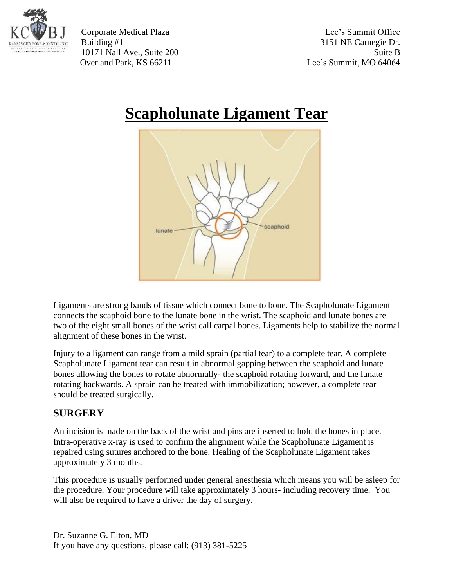

Corporate Medical Plaza Lee's Summit Office Building #1 3151 NE Carnegie Dr. 10171 Nall Ave., Suite 200 Suite B Overland Park, KS 66211 Lee's Summit, MO 64064

# **Scapholunate Ligament Tear**



Ligaments are strong bands of tissue which connect bone to bone. The Scapholunate Ligament connects the scaphoid bone to the lunate bone in the wrist. The scaphoid and lunate bones are two of the eight small bones of the wrist call carpal bones. Ligaments help to stabilize the normal alignment of these bones in the wrist.

Injury to a ligament can range from a mild sprain (partial tear) to a complete tear. A complete Scapholunate Ligament tear can result in abnormal gapping between the scaphoid and lunate bones allowing the bones to rotate abnormally- the scaphoid rotating forward, and the lunate rotating backwards. A sprain can be treated with immobilization; however, a complete tear should be treated surgically.

#### **SURGERY**

An incision is made on the back of the wrist and pins are inserted to hold the bones in place. Intra-operative x-ray is used to confirm the alignment while the Scapholunate Ligament is repaired using sutures anchored to the bone. Healing of the Scapholunate Ligament takes approximately 3 months.

This procedure is usually performed under general anesthesia which means you will be asleep for the procedure. Your procedure will take approximately 3 hours- including recovery time. You will also be required to have a driver the day of surgery.